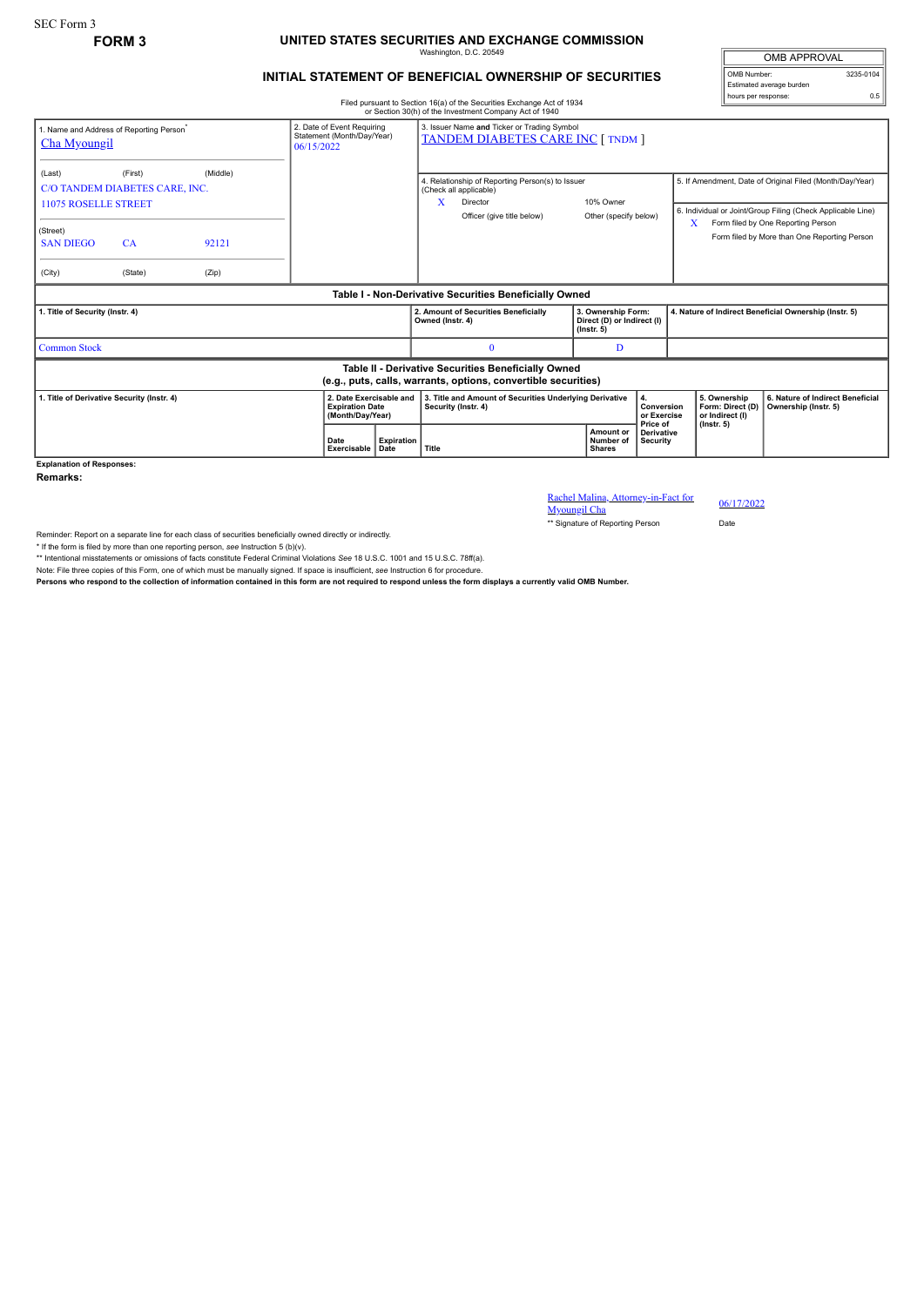## **FORM 3 UNITED STATES SECURITIES AND EXCHANGE COMMISSION** Washington, D.C. 20549

## **INITIAL STATEMENT OF BENEFICIAL OWNERSHIP OF SECURITIES**

OMB APPROVAL OMB Number: 3235-0104 Estimated average burden hours per response: 0.5

Filed pursuant to Section 16(a) of the Securities Exchange Act of 1934 or Section 30(h) of the Investment Company Act of 1940

| 1. Name and Address of Reporting Person <sup>®</sup><br>Cha Myoungil                                                  | 06/15/2022    | 2. Date of Event Requiring<br>Statement (Month/Day/Year) |  | 3. Issuer Name and Ticker or Trading Symbol<br><b>TANDEM DIABETES CARE INC [ TNDM ]</b> |                           |                                                                                |                                                                                                                      |                                                                      |                                             |                                      |                                                                         |                                                                                                                                                                                                               |
|-----------------------------------------------------------------------------------------------------------------------|---------------|----------------------------------------------------------|--|-----------------------------------------------------------------------------------------|---------------------------|--------------------------------------------------------------------------------|----------------------------------------------------------------------------------------------------------------------|----------------------------------------------------------------------|---------------------------------------------|--------------------------------------|-------------------------------------------------------------------------|---------------------------------------------------------------------------------------------------------------------------------------------------------------------------------------------------------------|
| (Last)<br>C/O TANDEM DIABETES CARE, INC.<br><b>11075 ROSELLE STREET</b><br>(Street)<br><b>SAN DIEGO</b>               | (First)<br>CA | (Middle)<br>92121                                        |  |                                                                                         |                           | x                                                                              | 4. Relationship of Reporting Person(s) to Issuer<br>(Check all applicable)<br>Director<br>Officer (give title below) |                                                                      | 10% Owner<br>Other (specify below)          |                                      | X                                                                       | 5. If Amendment, Date of Original Filed (Month/Day/Year)<br>6. Individual or Joint/Group Filing (Check Applicable Line)<br>Form filed by One Reporting Person<br>Form filed by More than One Reporting Person |
| (City)                                                                                                                | (State)       | (Zip)                                                    |  |                                                                                         |                           |                                                                                |                                                                                                                      |                                                                      |                                             |                                      |                                                                         |                                                                                                                                                                                                               |
| Table I - Non-Derivative Securities Beneficially Owned                                                                |               |                                                          |  |                                                                                         |                           |                                                                                |                                                                                                                      |                                                                      |                                             |                                      |                                                                         |                                                                                                                                                                                                               |
| 1. Title of Security (Instr. 4)                                                                                       |               |                                                          |  |                                                                                         |                           | Owned (Instr. 4)                                                               | 2. Amount of Securities Beneficially                                                                                 | 3. Ownership Form:<br>Direct (D) or Indirect (I)<br>$($ lnstr. 5 $)$ |                                             |                                      | 4. Nature of Indirect Beneficial Ownership (Instr. 5)                   |                                                                                                                                                                                                               |
| <b>Common Stock</b>                                                                                                   |               |                                                          |  |                                                                                         |                           |                                                                                | $\Omega$                                                                                                             |                                                                      | D                                           |                                      |                                                                         |                                                                                                                                                                                                               |
| Table II - Derivative Securities Beneficially Owned<br>(e.g., puts, calls, warrants, options, convertible securities) |               |                                                          |  |                                                                                         |                           |                                                                                |                                                                                                                      |                                                                      |                                             |                                      |                                                                         |                                                                                                                                                                                                               |
| 1. Title of Derivative Security (Instr. 4)                                                                            |               |                                                          |  | 2. Date Exercisable and<br><b>Expiration Date</b><br>(Month/Day/Year)                   |                           | 3. Title and Amount of Securities Underlying Derivative<br>Security (Instr. 4) |                                                                                                                      |                                                                      | 4.<br>Conversion<br>or Exercise<br>Price of |                                      | 5. Ownership<br>Form: Direct (D)<br>or Indirect (I)<br>$($ lnstr. 5 $)$ | 6. Nature of Indirect Beneficial<br>Ownership (Instr. 5)                                                                                                                                                      |
|                                                                                                                       |               |                                                          |  | Date<br>Exercisable                                                                     | <b>Expiration</b><br>Date | Title                                                                          |                                                                                                                      |                                                                      | Amount or<br>Number of<br><b>Shares</b>     | <b>Derivative</b><br><b>Security</b> |                                                                         |                                                                                                                                                                                                               |
| <b>Explanation of Responses:</b>                                                                                      |               |                                                          |  |                                                                                         |                           |                                                                                |                                                                                                                      |                                                                      |                                             |                                      |                                                                         |                                                                                                                                                                                                               |

**Remarks:**

Rachel Malina, Attorney-in-Fact for <br>Myoungil Cha 06/17/2022

\*\* Signature of Reporting Person Date

Reminder: Report on a separate line for each class of securities beneficially owned directly or indirectly.

\* If the form is filed by more than one reporting person, *see* Instruction 5 (b)(v).

\*\* Intentional misstatements or omissions of facts constitute Federal Criminal Violations *See* 18 U.S.C. 1001 and 15 U.S.C. 78ff(a).

Note: File three copies of this Form, one of which must be manually signed. If space is insufficient, *see* Instruction 6 for procedure.

**Persons who respond to the collection of information contained in this form are not required to respond unless the form displays a currently valid OMB Number.**